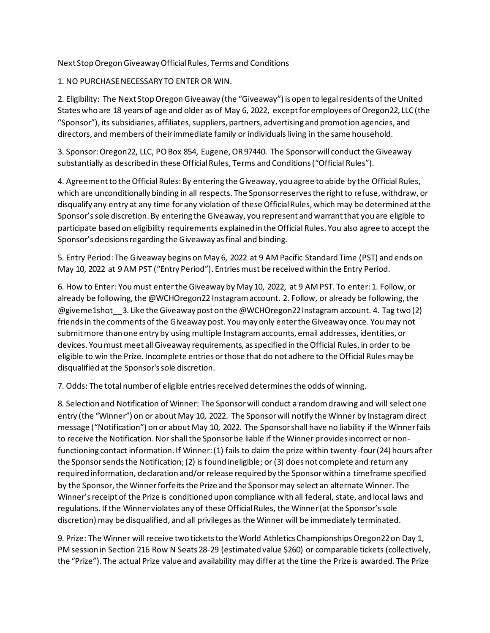## Next Stop Oregon Giveaway Official Rules, Terms and Conditions

## 1. NO PURCHASE NECESSARY TO ENTER OR WIN.

2. Eligibility: The Next Stop Oregon Giveaway (the "Giveaway") is open to legal residents of the United States who are 18 years of age and older as of May 6, 2022, except for employees of Oregon22, LLC (the "Sponsor"), its subsidiaries, affiliates, suppliers, partners, advertising and promotion agencies, and directors, and members of their immediate family or individuals living in the same household.

3. Sponsor: Oregon22, LLC, PO Box 854, Eugene, OR 97440. The Sponsor will conduct the Giveaway substantially as described in these Official Rules, Terms and Conditions ("Official Rules").

4. Agreement to the Official Rules: By entering the Giveaway, you agree to abide by the Official Rules, which are unconditionally binding in all respects. The Sponsor reserves the right to refuse, withdraw, or disqualify any entry at any time for any violation of these Official Rules, which may be determined at the Sponsor's sole discretion. By entering the Giveaway, you represent and warrant that you are eligible to participate based on eligibility requirements explained in the Official Rules. You also agree to accept the Sponsor's decisions regarding the Giveaway as final and binding.

5. Entry Period: The Giveaway begins on May 6, 2022 at 9 AM Pacific Standard Time (PST) and ends on May 10, 2022 at 9 AM PST ("Entry Period"). Entries must be received within the Entry Period.

6. How to Enter: You must enter the Giveaway by May 10, 2022, at 9 AM PST. To enter: 1. Follow, or already be following, the @WCHOregon22 Instagram account. 2. Follow, or already be following, the @giveme1shot\_\_3. Like the Giveaway post on the @WCHOregon22 Instagram account. 4. Tag two (2) friends in the comments of the Giveaway post. You may only enter the Giveaway once. You may not submit more than one entry by using multiple Instagram accounts, email addresses, identities, or devices. You must meet all Giveaway requirements, as specified in the Official Rules, in order to be eligible to win the Prize. Incomplete entries or those that do not adhere to the Official Rules may be disqualified at the Sponsor's sole discretion.

7. Odds: The total number of eligible entries received determines the odds of winning.

8. Selection and Notification of Winner: The Sponsor will conduct a random drawing and will select one entry (the "Winner") on or about May 10, 2022. The Sponsor will notify the Winner by Instagram direct message ("Notification") on or about May 10, 2022. The Sponsor shall have no liability if the Winner fails to receive the Notification. Nor shall the Sponsor be liable if the Winner provides incorrect or nonfunctioning contact information. If Winner: (1) fails to claim the prize within twenty-four (24) hours after the Sponsor sends the Notification; (2) is found ineligible; or (3) does not complete and return any required information, declaration and/or release required by the Sponsor within a timeframe specified by the Sponsor, the Winner forfeits the Prize and the Sponsor may select an alternate Winner. The Winner's receipt of the Prize is conditioned upon compliance with all federal, state, and local laws and regulations. If the Winner violates any of these Official Rules, the Winner (at the Sponsor's sole discretion) may be disqualified, and all privileges as the Winner will be immediately terminated.

9. Prize: The Winner will receive two tickets to the World Athletics Championships Oregon22 on Day 1, PM session in Section 216 Row N Seats 28-29 (estimated value \$260) or comparable tickets (collectively, the "Prize"). The actual Prize value and availability may differ at the time the Prize is awarded. The Prize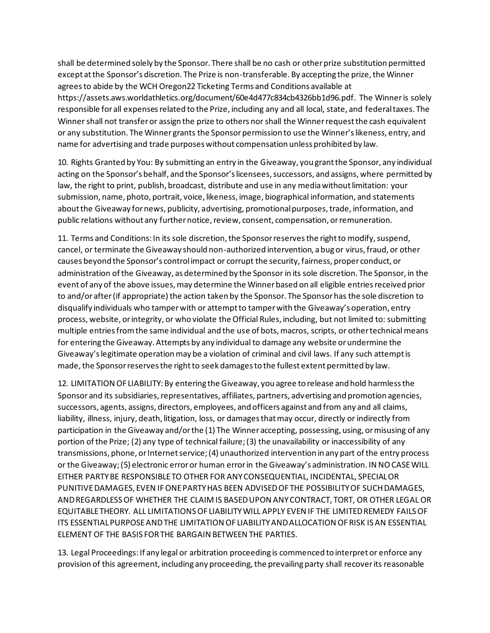shall be determined solely by the Sponsor. There shall be no cash or other prize substitution permitted except at the Sponsor's discretion. The Prize is non-transferable. By accepting the prize, the Winner agrees to abide by the WCH Oregon22 Ticketing Terms and Conditions available at https://assets.aws.worldathletics.org/document/60e4d477c834cb4326bb1d96.pdf. The Winner is solely responsible for all expenses related to the Prize, including any and all local, state, and federal taxes. The Winner shall not transfer or assign the prize to others nor shall the Winner request the cash equivalent or any substitution. The Winner grants the Sponsor permission to use the Winner's likeness, entry, and name for advertising and trade purposes without compensation unless prohibited by law.

10. Rights Granted by You: By submitting an entry in the Giveaway, you grant the Sponsor, any individual acting on the Sponsor's behalf, and the Sponsor's licensees, successors, and assigns, where permitted by law, the right to print, publish, broadcast, distribute and use in any media without limitation: your submission, name, photo, portrait, voice, likeness, image, biographical information, and statements about the Giveaway for news, publicity, advertising, promotional purposes, trade, information, and public relations without any further notice, review, consent, compensation, or remuneration.

11. Terms and Conditions: In its sole discretion, the Sponsor reserves the right to modify, suspend, cancel, or terminate the Giveaway should non-authorized intervention, a bug or virus, fraud, or other causes beyond the Sponsor's control impact or corrupt the security, fairness, proper conduct, or administration of the Giveaway, as determined by the Sponsor in its sole discretion. The Sponsor, in the event of any of the above issues, may determine the Winner based on all eligible entries received prior to and/or after (if appropriate) the action taken by the Sponsor. The Sponsor has the sole discretion to disqualify individuals who tamper with or attempt to tamper with the Giveaway's operation, entry process, website, or integrity, or who violate the Official Rules, including, but not limited to: submitting multiple entries from the same individual and the use of bots, macros, scripts, or other technical means for entering the Giveaway. Attempts by any individual to damage any website or undermine the Giveaway's legitimate operation may be a violation of criminal and civil laws. If any such attempt is made, the Sponsor reserves the right to seek damages to the fullest extent permitted by law.

12. LIMITATION OF LIABILITY: By entering the Giveaway, you agree to release and hold harmless the Sponsor and its subsidiaries, representatives, affiliates, partners, advertising and promotion agencies, successors, agents, assigns, directors, employees, and officers against and from any and all claims, liability, illness, injury, death, litigation, loss, or damages that may occur, directly or indirectly from participation in the Giveaway and/or the (1) The Winner accepting, possessing, using, or misusing of any portion of the Prize; (2) any type of technical failure; (3) the unavailability or inaccessibility of any transmissions, phone, or Internet service; (4) unauthorized intervention in any part of the entry process or the Giveaway; (5) electronic error or human error in the Giveaway's administration. IN NO CASE WILL EITHER PARTY BE RESPONSIBLE TO OTHER FOR ANY CONSEQUENTIAL, INCIDENTAL, SPECIAL OR PUNITIVE DAMAGES, EVEN IF ONE PARTY HAS BEEN ADVISED OF THE POSSIBILITY OF SUCH DAMAGES, AND REGARDLESS OF WHETHER THE CLAIM IS BASED UPON ANY CONTRACT, TORT, OR OTHER LEGAL OR EQUITABLE THEORY. ALL LIMITATIONS OF LIABILITY WILL APPLY EVEN IF THE LIMITED REMEDY FAILS OF ITS ESSENTIAL PURPOSE AND THE LIMITATION OF LIABILITY AND ALLOCATION OF RISK IS AN ESSENTIAL ELEMENT OF THE BASIS FOR THE BARGAIN BETWEEN THE PARTIES.

13. Legal Proceedings: If any legal or arbitration proceeding is commenced to interpret or enforce any provision of this agreement, including any proceeding, the prevailing party shall recover its reasonable